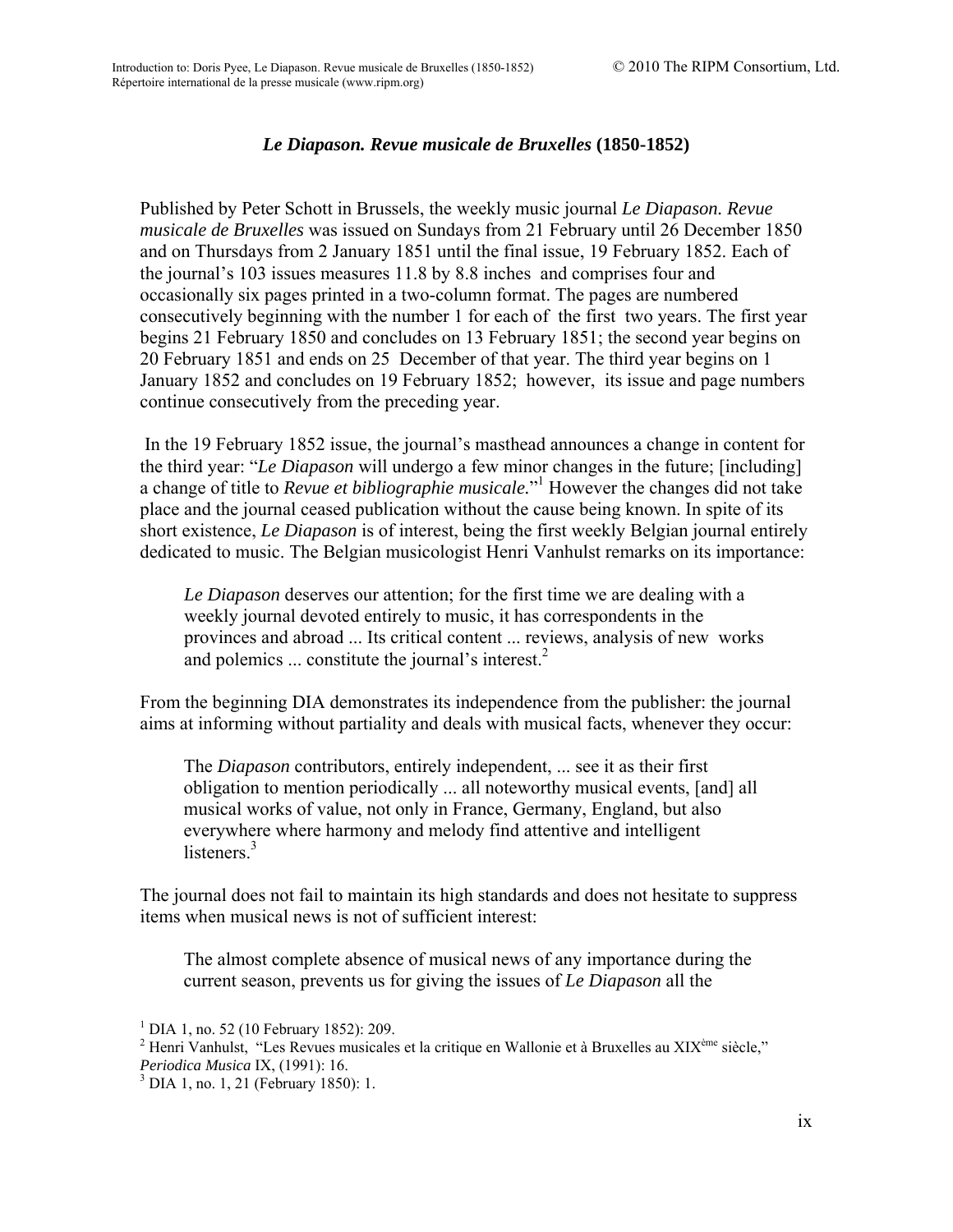## *Le Diapason. Revue musicale de Bruxelles* **(1850-1852)**

Published by Peter Schott in Brussels, the weekly music journal *Le Diapason. Revue musicale de Bruxelles* was issued on Sundays from 21 February until 26 December 1850 and on Thursdays from 2 January 1851 until the final issue, 19 February 1852. Each of the journal's 103 issues measures 11.8 by 8.8 inches and comprises four and occasionally six pages printed in a two-column format. The pages are numbered consecutively beginning with the number 1 for each of the first two years. The first year begins 21 February 1850 and concludes on 13 February 1851; the second year begins on 20 February 1851 and ends on 25 December of that year. The third year begins on 1 January 1852 and concludes on 19 February 1852; however, its issue and page numbers continue consecutively from the preceding year.

 In the 19 February 1852 issue, the journal's masthead announces a change in content for the third year: "*Le Diapason* will undergo a few minor changes in the future; [including] a change of title to *Revue et bibliographie musicale*."<sup>1</sup> However the changes did not take place and the journal ceased publication without the cause being known. In spite of its short existence, *Le Diapason* is of interest, being the first weekly Belgian journal entirely dedicated to music. The Belgian musicologist Henri Vanhulst remarks on its importance:

*Le Diapason* deserves our attention; for the first time we are dealing with a weekly journal devoted entirely to music, it has correspondents in the provinces and abroad ... Its critical content ... reviews, analysis of new works and polemics  $\ldots$  constitute the journal's interest.<sup>2</sup>

From the beginning DIA demonstrates its independence from the publisher: the journal aims at informing without partiality and deals with musical facts, whenever they occur:

The *Diapason* contributors, entirely independent, ... see it as their first obligation to mention periodically ... all noteworthy musical events, [and] all musical works of value, not only in France, Germany, England, but also everywhere where harmony and melody find attentive and intelligent listeners $3$ 

The journal does not fail to maintain its high standards and does not hesitate to suppress items when musical news is not of sufficient interest:

The almost complete absence of musical news of any importance during the current season, prevents us for giving the issues of *Le Diapason* all the

<sup>1</sup> DIA 1, no. 52 (10 February 1852): 209.

<sup>&</sup>lt;sup>2</sup> Henri Vanhulst, "Les Revues musicales et la critique en Wallonie et à Bruxelles au XIX<sup>ème</sup> siècle," *Periodica Musica* IX, (1991): 16. 3

 $3$  DIA 1, no. 1, 21 (February 1850): 1.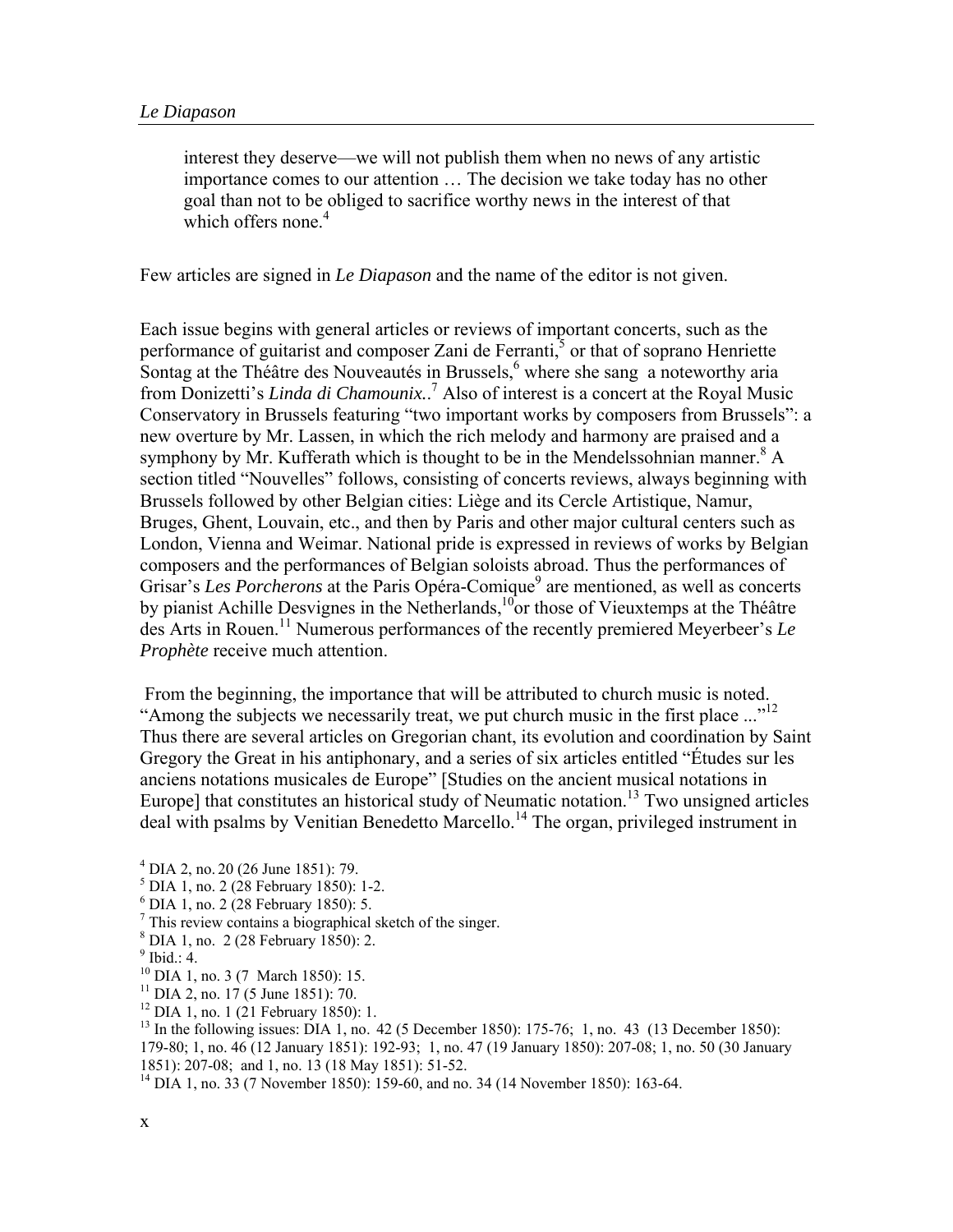interest they deserve—we will not publish them when no news of any artistic importance comes to our attention … The decision we take today has no other goal than not to be obliged to sacrifice worthy news in the interest of that which offers none.<sup>4</sup>

Few articles are signed in *Le Diapason* and the name of the editor is not given.

Each issue begins with general articles or reviews of important concerts, such as the performance of guitarist and composer Zani de Ferranti,<sup>5</sup> or that of soprano Henriette Sontag at the Théâtre des Nouveautés in Brussels,<sup>6</sup> where she sang a noteworthy aria from Donizetti's *Linda di Chamounix*.<sup>7</sup> Also of interest is a concert at the Royal Music Conservatory in Brussels featuring "two important works by composers from Brussels": a new overture by Mr. Lassen, in which the rich melody and harmony are praised and a symphony by Mr. Kufferath which is thought to be in the Mendelssohnian manner.<sup>8</sup> A section titled "Nouvelles" follows, consisting of concerts reviews, always beginning with Brussels followed by other Belgian cities: Liège and its Cercle Artistique, Namur, Bruges, Ghent, Louvain, etc., and then by Paris and other major cultural centers such as London, Vienna and Weimar. National pride is expressed in reviews of works by Belgian composers and the performances of Belgian soloists abroad. Thus the performances of Grisar's *Les Porcherons* at the Paris Opéra-Comique<sup>9</sup> are mentioned, as well as concerts by pianist Achille Desvignes in the Netherlands,<sup>10</sup>or those of Vieuxtemps at the Théâtre des Arts in Rouen.11 Numerous performances of the recently premiered Meyerbeer's *Le Prophète* receive much attention.

 From the beginning, the importance that will be attributed to church music is noted. "Among the subjects we necessarily treat, we put church music in the first place ..."<sup>12</sup> Thus there are several articles on Gregorian chant, its evolution and coordination by Saint Gregory the Great in his antiphonary, and a series of six articles entitled "Études sur les anciens notations musicales de Europe" [Studies on the ancient musical notations in Europe] that constitutes an historical study of Neumatic notation.<sup>13</sup> Two unsigned articles deal with psalms by Venitian Benedetto Marcello.<sup>14</sup> The organ, privileged instrument in

- $<sup>5</sup>$  DIA 1, no. 2 (28 February 1850): 1-2.</sup>
- 6 DIA 1, no. 2 (28 February 1850): 5.
- <sup>7</sup> This review contains a biographical sketch of the singer.
- DIA 1, no. 2 (28 February 1850): 2.
- $<sup>9</sup>$  Ibid.: 4.</sup>
- <sup>10</sup> DIA 1, no. 3 (7 March 1850): 15.
- $11$  DIA 2, no. 17 (5 June 1851): 70.
- $12$  DIA 1, no. 1 (21 February 1850): 1.
- $^{13}$  In the following issues: DIA 1, no. 42 (5 December 1850): 175-76; 1, no. 43 (13 December 1850):

179-80; 1, no. 46 (12 January 1851): 192-93; 1, no. 47 (19 January 1850): 207-08; 1, no. 50 (30 January 1851): 207-08; and 1, no. 13 (18 May 1851): 51-52.

 $^{4}$  DIA 2, no. 20 (26 June 1851): 79.

<sup>&</sup>lt;sup>14</sup> DIA 1, no. 33 (7 November 1850): 159-60, and no. 34 (14 November 1850): 163-64.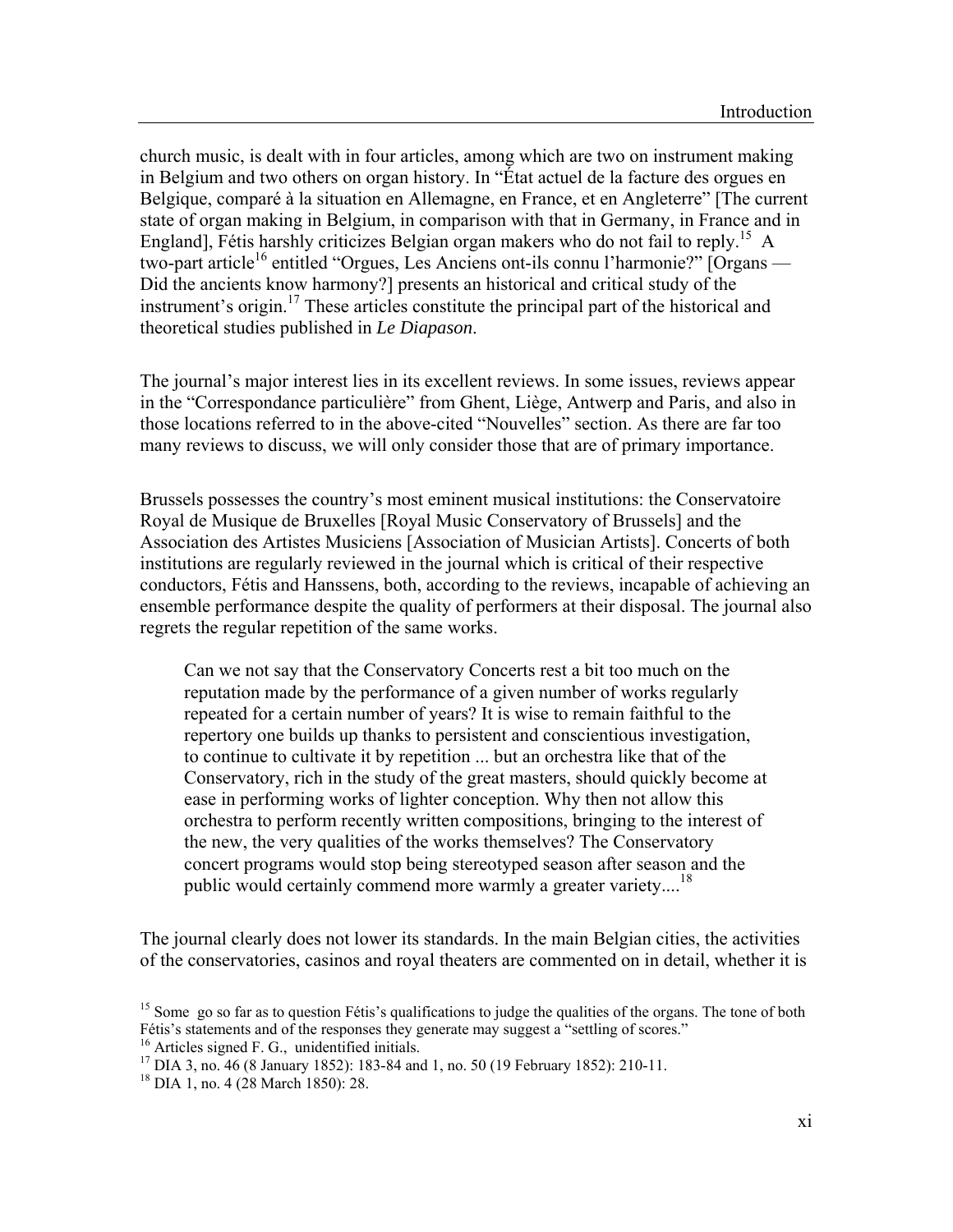church music, is dealt with in four articles, among which are two on instrument making in Belgium and two others on organ history. In "État actuel de la facture des orgues en Belgique, comparé à la situation en Allemagne, en France, et en Angleterre" [The current state of organ making in Belgium, in comparison with that in Germany, in France and in England], Fétis harshly criticizes Belgian organ makers who do not fail to reply.<sup>15</sup> A two-part article<sup>16</sup> entitled "Orgues, Les Anciens ont-ils connu l'harmonie?" [Organs — Did the ancients know harmony?] presents an historical and critical study of the instrument's origin.17 These articles constitute the principal part of the historical and theoretical studies published in *Le Diapason*.

The journal's major interest lies in its excellent reviews. In some issues, reviews appear in the "Correspondance particulière" from Ghent, Liège, Antwerp and Paris, and also in those locations referred to in the above-cited "Nouvelles" section. As there are far too many reviews to discuss, we will only consider those that are of primary importance.

Brussels possesses the country's most eminent musical institutions: the Conservatoire Royal de Musique de Bruxelles [Royal Music Conservatory of Brussels] and the Association des Artistes Musiciens [Association of Musician Artists]. Concerts of both institutions are regularly reviewed in the journal which is critical of their respective conductors, Fétis and Hanssens, both, according to the reviews, incapable of achieving an ensemble performance despite the quality of performers at their disposal. The journal also regrets the regular repetition of the same works.

Can we not say that the Conservatory Concerts rest a bit too much on the reputation made by the performance of a given number of works regularly repeated for a certain number of years? It is wise to remain faithful to the repertory one builds up thanks to persistent and conscientious investigation, to continue to cultivate it by repetition ... but an orchestra like that of the Conservatory, rich in the study of the great masters, should quickly become at ease in performing works of lighter conception. Why then not allow this orchestra to perform recently written compositions, bringing to the interest of the new, the very qualities of the works themselves? The Conservatory concert programs would stop being stereotyped season after season and the public would certainly commend more warmly a greater variety....<sup>18</sup>

The journal clearly does not lower its standards. In the main Belgian cities, the activities of the conservatories, casinos and royal theaters are commented on in detail, whether it is

<sup>&</sup>lt;sup>15</sup> Some go so far as to question Fétis's qualifications to judge the qualities of the organs. The tone of both Fétis's statements and of the responses they generate may suggest a "settling of scores." <sup>16</sup> Articles signed F. G., unidentified initials.

<sup>17</sup> DIA 3, no. 46 (8 January 1852): 183-84 and 1, no. 50 (19 February 1852): 210-11.

<sup>18</sup> DIA 1, no. 4 (28 March 1850): 28.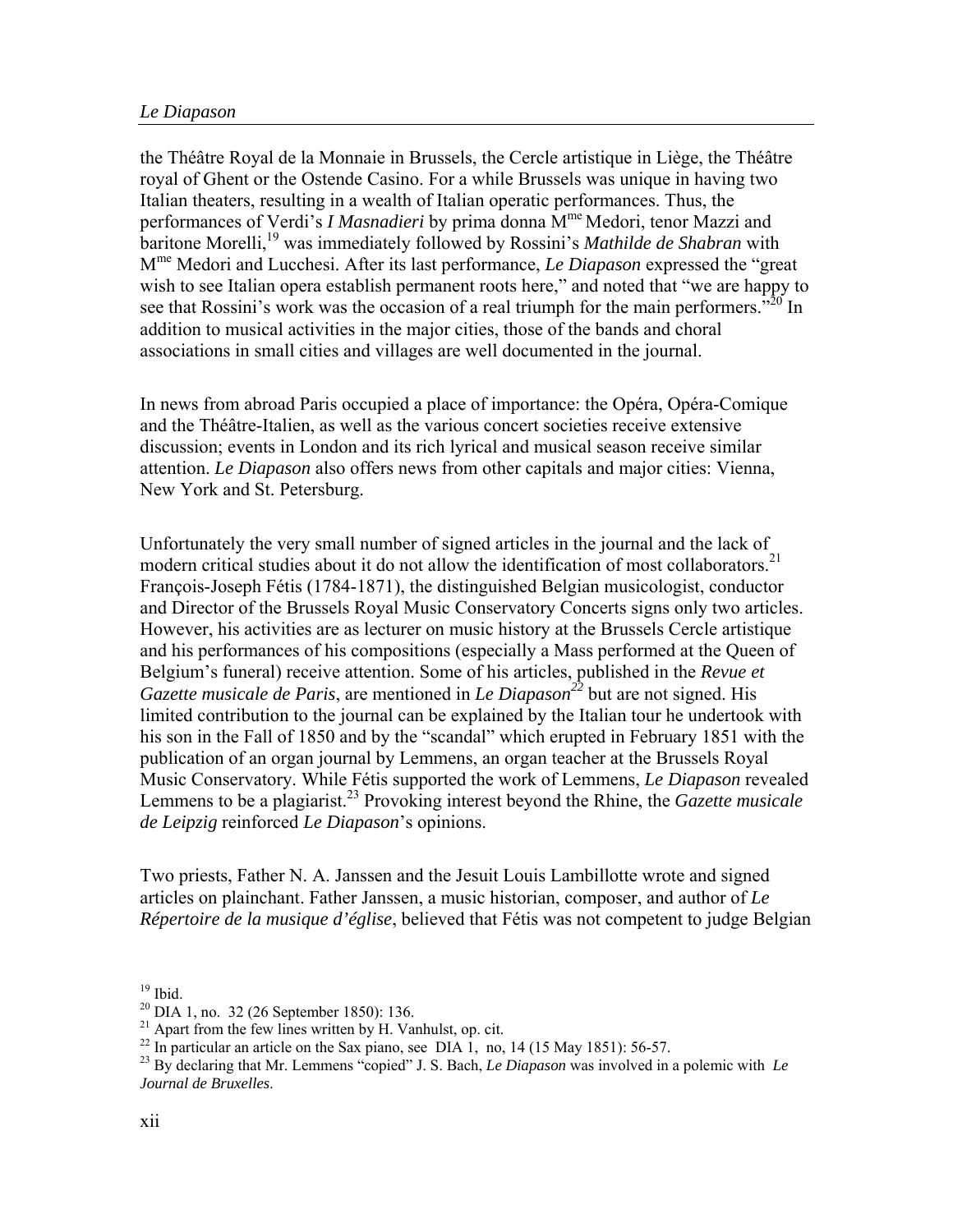the Théâtre Royal de la Monnaie in Brussels, the Cercle artistique in Liège, the Théâtre royal of Ghent or the Ostende Casino. For a while Brussels was unique in having two Italian theaters, resulting in a wealth of Italian operatic performances. Thus, the performances of Verdi's *I Masnadieri* by prima donna Mme Medori, tenor Mazzi and baritone Morelli,19 was immediately followed by Rossini's *Mathilde de Shabran* with Mme Medori and Lucchesi. After its last performance, *Le Diapason* expressed the "great wish to see Italian opera establish permanent roots here," and noted that "we are happy to see that Rossini's work was the occasion of a real triumph for the main performers."<sup>20</sup> In addition to musical activities in the major cities, those of the bands and choral associations in small cities and villages are well documented in the journal.

In news from abroad Paris occupied a place of importance: the Opéra, Opéra-Comique and the Théâtre-Italien, as well as the various concert societies receive extensive discussion; events in London and its rich lyrical and musical season receive similar attention. *Le Diapason* also offers news from other capitals and major cities: Vienna, New York and St. Petersburg.

Unfortunately the very small number of signed articles in the journal and the lack of modern critical studies about it do not allow the identification of most collaborators.<sup>21</sup> François-Joseph Fétis (1784-1871), the distinguished Belgian musicologist, conductor and Director of the Brussels Royal Music Conservatory Concerts signs only two articles. However, his activities are as lecturer on music history at the Brussels Cercle artistique and his performances of his compositions (especially a Mass performed at the Queen of Belgium's funeral) receive attention. Some of his articles, published in the *Revue et Gazette musicale de Paris*, are mentioned in *Le Diapason<sup>22</sup>* but are not signed. His limited contribution to the journal can be explained by the Italian tour he undertook with his son in the Fall of 1850 and by the "scandal" which erupted in February 1851 with the publication of an organ journal by Lemmens, an organ teacher at the Brussels Royal Music Conservatory. While Fétis supported the work of Lemmens, *Le Diapason* revealed Lemmens to be a plagiarist.<sup>23</sup> Provoking interest beyond the Rhine, the *Gazette musicale de Leipzig* reinforced *Le Diapason*'s opinions.

Two priests, Father N. A. Janssen and the Jesuit Louis Lambillotte wrote and signed articles on plainchant. Father Janssen, a music historian, composer, and author of *Le Répertoire de la musique d'église*, believed that Fétis was not competent to judge Belgian

 $^{21}$  Apart from the few lines written by H. Vanhulst, op. cit.

 $19$  Ibid.

 $20$  DIA 1, no. 32 (26 September 1850): 136.

<sup>&</sup>lt;sup>22</sup> In particular an article on the Sax piano, see DIA 1, no, 14 (15 May 1851): 56-57.

<sup>23</sup> By declaring that Mr. Lemmens "copied" J. S. Bach, *Le Diapason* was involved in a polemic with *Le Journal de Bruxelles*.